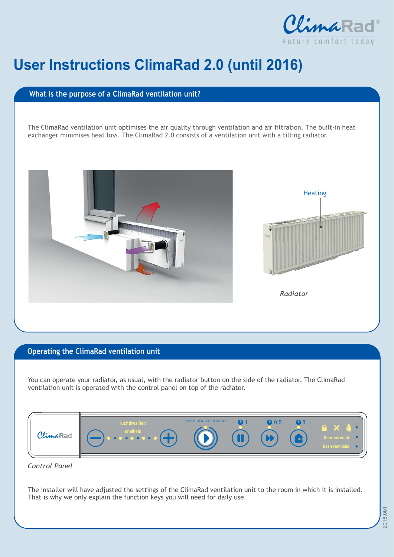

## **User Instructions ClimaRad 2.0 (until 2016)**

## **What is the purpose of a ClimaRad ventilation unit?**

The ClimaRad ventilation unit optimises the air quality through ventilation and air filtration. The built-in heat exchanger minimises heat loss. The ClimaRad 2.0 consists of a ventilation unit with a tilting radiator.



## **Operating the ClimaRad ventilation unit**

You can operate your radiator, as usual, with the radiator button on the side of the radiator. The ClimaRad ventilation unit is operated with the control panel on top of the radiator.



*Control Panel*

The installer will have adjusted the settings of the ClimaRad ventilation unit to the room in which it is installed. That is why we only explain the function keys you will need for daily use.